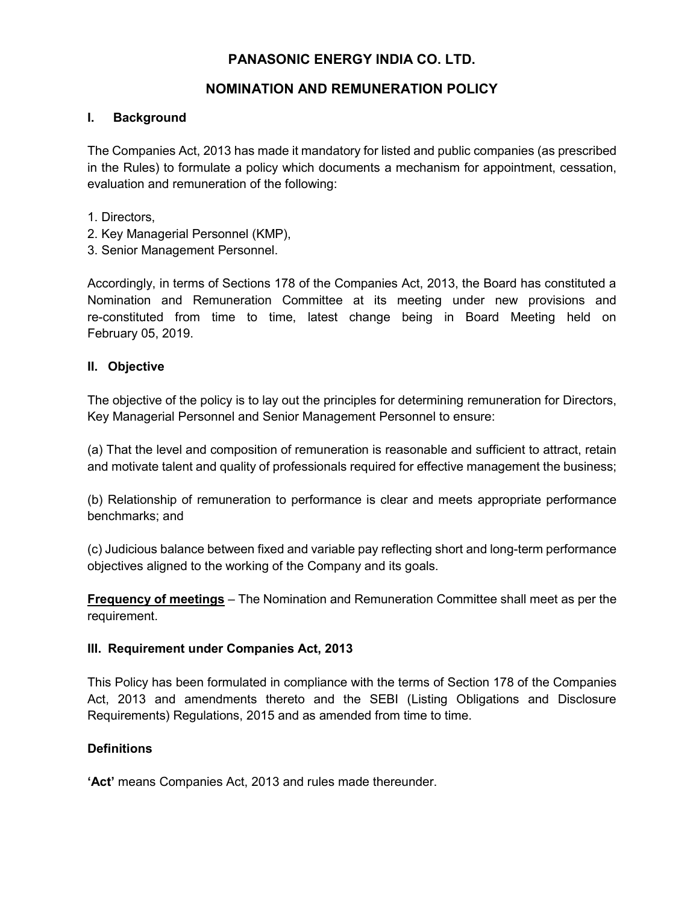# **PANASONIC ENERGY INDIA CO. LTD.**

# **NOMINATION AND REMUNERATION POLICY**

### **I. Background**

The Companies Act, 2013 has made it mandatory for listed and public companies (as prescribed in the Rules) to formulate a policy which documents a mechanism for appointment, cessation, evaluation and remuneration of the following:

- 1. Directors,
- 2. Key Managerial Personnel (KMP),
- 3. Senior Management Personnel.

Accordingly, in terms of Sections 178 of the Companies Act, 2013, the Board has constituted a Nomination and Remuneration Committee at its meeting under new provisions and re-constituted from time to time, latest change being in Board Meeting held on February 05, 2019.

## **II. Objective**

The objective of the policy is to lay out the principles for determining remuneration for Directors, Key Managerial Personnel and Senior Management Personnel to ensure:

(a) That the level and composition of remuneration is reasonable and sufficient to attract, retain and motivate talent and quality of professionals required for effective management the business;

(b) Relationship of remuneration to performance is clear and meets appropriate performance benchmarks; and

(c) Judicious balance between fixed and variable pay reflecting short and long-term performance objectives aligned to the working of the Company and its goals.

**Frequency of meetings** – The Nomination and Remuneration Committee shall meet as per the requirement.

## **III. Requirement under Companies Act, 2013**

This Policy has been formulated in compliance with the terms of Section 178 of the Companies Act, 2013 and amendments thereto and the SEBI (Listing Obligations and Disclosure Requirements) Regulations, 2015 and as amended from time to time.

## **Definitions**

**'Act'** means Companies Act, 2013 and rules made thereunder.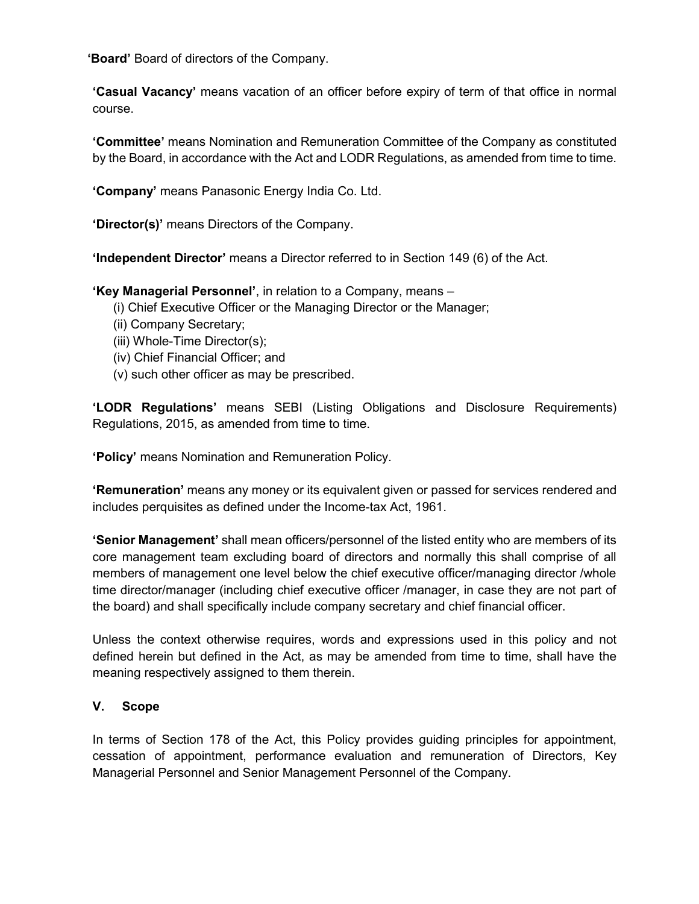**'Board'** Board of directors of the Company.

**'Casual Vacancy'** means vacation of an officer before expiry of term of that office in normal course.

**'Committee'** means Nomination and Remuneration Committee of the Company as constituted by the Board, in accordance with the Act and LODR Regulations, as amended from time to time.

**'Company'** means Panasonic Energy India Co. Ltd.

**'Director(s)'** means Directors of the Company.

**'Independent Director'** means a Director referred to in Section 149 (6) of the Act.

**'Key Managerial Personnel'**, in relation to a Company, means –

- (i) Chief Executive Officer or the Managing Director or the Manager;
- (ii) Company Secretary;
- (iii) Whole-Time Director(s);
- (iv) Chief Financial Officer; and
- (v) such other officer as may be prescribed.

**'LODR Regulations'** means SEBI (Listing Obligations and Disclosure Requirements) Regulations, 2015, as amended from time to time.

**'Policy'** means Nomination and Remuneration Policy.

**'Remuneration'** means any money or its equivalent given or passed for services rendered and includes perquisites as defined under the Income-tax Act, 1961.

**'Senior Management'** shall mean officers/personnel of the listed entity who are members of its core management team excluding board of directors and normally this shall comprise of all members of management one level below the chief executive officer/managing director /whole time director/manager (including chief executive officer /manager, in case they are not part of the board) and shall specifically include company secretary and chief financial officer.

Unless the context otherwise requires, words and expressions used in this policy and not defined herein but defined in the Act, as may be amended from time to time, shall have the meaning respectively assigned to them therein.

### **V. Scope**

In terms of Section 178 of the Act, this Policy provides guiding principles for appointment, cessation of appointment, performance evaluation and remuneration of Directors, Key Managerial Personnel and Senior Management Personnel of the Company.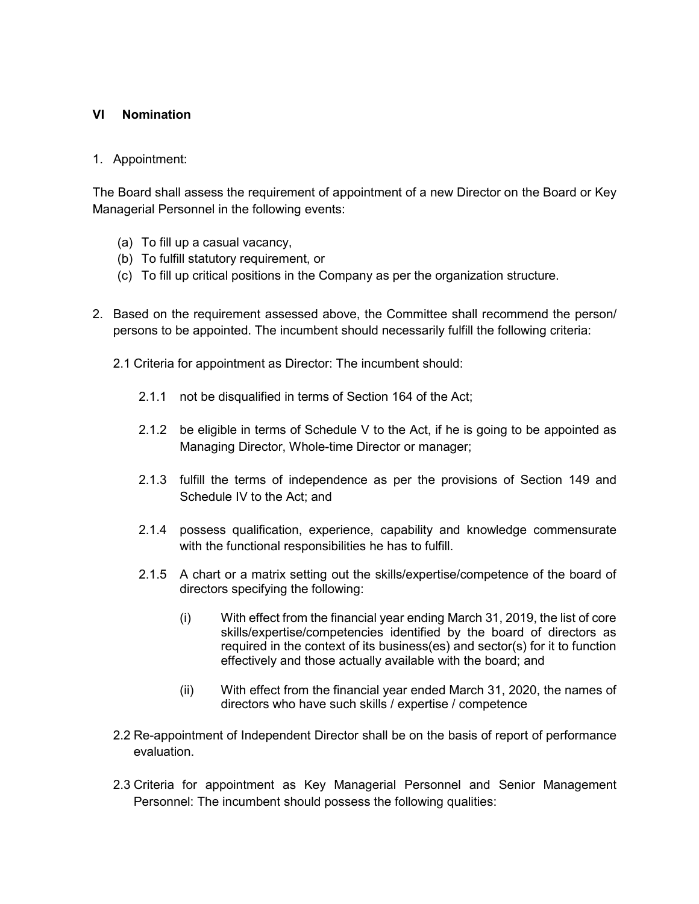### **VI Nomination**

#### 1. Appointment:

The Board shall assess the requirement of appointment of a new Director on the Board or Key Managerial Personnel in the following events:

- (a) To fill up a casual vacancy,
- (b) To fulfill statutory requirement, or
- (c) To fill up critical positions in the Company as per the organization structure.
- 2. Based on the requirement assessed above, the Committee shall recommend the person/ persons to be appointed. The incumbent should necessarily fulfill the following criteria:
	- 2.1 Criteria for appointment as Director: The incumbent should:
		- 2.1.1 not be disqualified in terms of Section 164 of the Act;
		- 2.1.2 be eligible in terms of Schedule V to the Act, if he is going to be appointed as Managing Director, Whole-time Director or manager;
		- 2.1.3 fulfill the terms of independence as per the provisions of Section 149 and Schedule IV to the Act; and
		- 2.1.4 possess qualification, experience, capability and knowledge commensurate with the functional responsibilities he has to fulfill.
		- 2.1.5 A chart or a matrix setting out the skills/expertise/competence of the board of directors specifying the following:
			- (i) With effect from the financial year ending March 31, 2019, the list of core skills/expertise/competencies identified by the board of directors as required in the context of its business(es) and sector(s) for it to function effectively and those actually available with the board; and
			- (ii) With effect from the financial year ended March 31, 2020, the names of directors who have such skills / expertise / competence
	- 2.2 Re-appointment of Independent Director shall be on the basis of report of performance evaluation.
	- 2.3 Criteria for appointment as Key Managerial Personnel and Senior Management Personnel: The incumbent should possess the following qualities: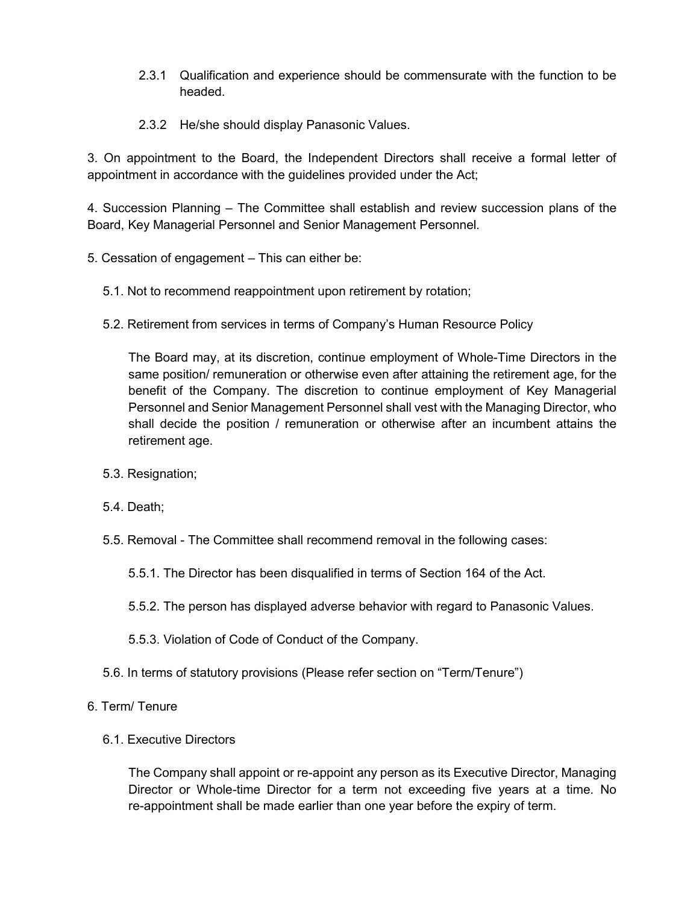- 2.3.1 Qualification and experience should be commensurate with the function to be headed.
- 2.3.2 He/she should display Panasonic Values.

3. On appointment to the Board, the Independent Directors shall receive a formal letter of appointment in accordance with the guidelines provided under the Act;

4. Succession Planning – The Committee shall establish and review succession plans of the Board, Key Managerial Personnel and Senior Management Personnel.

- 5. Cessation of engagement This can either be:
	- 5.1. Not to recommend reappointment upon retirement by rotation;
	- 5.2. Retirement from services in terms of Company's Human Resource Policy

The Board may, at its discretion, continue employment of Whole-Time Directors in the same position/ remuneration or otherwise even after attaining the retirement age, for the benefit of the Company. The discretion to continue employment of Key Managerial Personnel and Senior Management Personnel shall vest with the Managing Director, who shall decide the position / remuneration or otherwise after an incumbent attains the retirement age.

- 5.3. Resignation;
- 5.4. Death;
- 5.5. Removal The Committee shall recommend removal in the following cases:
	- 5.5.1. The Director has been disqualified in terms of Section 164 of the Act.
	- 5.5.2. The person has displayed adverse behavior with regard to Panasonic Values.
	- 5.5.3. Violation of Code of Conduct of the Company.
- 5.6. In terms of statutory provisions (Please refer section on "Term/Tenure")
- 6. Term/ Tenure
	- 6.1. Executive Directors

The Company shall appoint or re-appoint any person as its Executive Director, Managing Director or Whole-time Director for a term not exceeding five years at a time. No re-appointment shall be made earlier than one year before the expiry of term.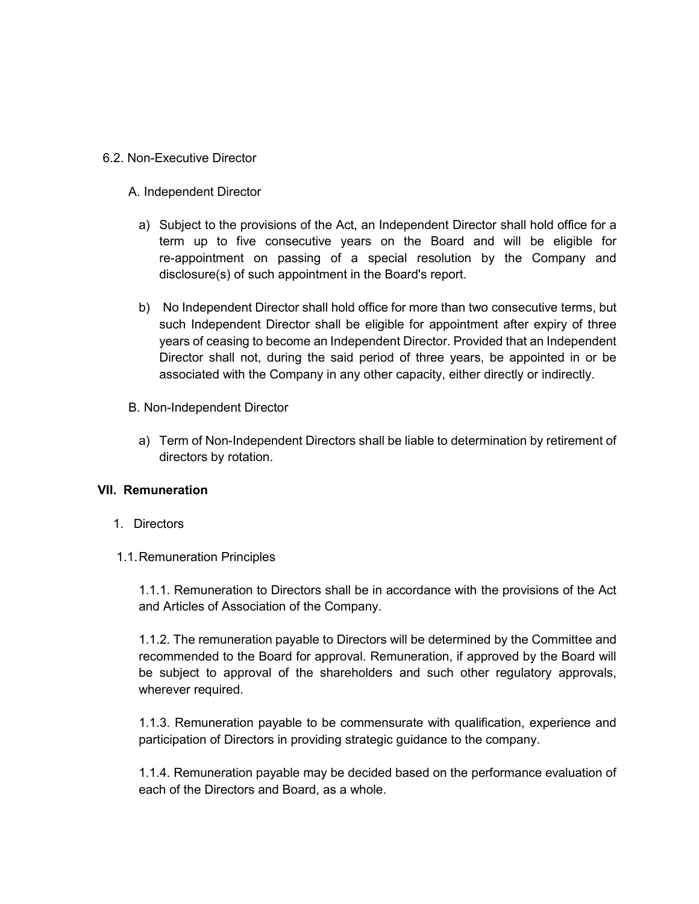6.2. Non-Executive Director

A. Independent Director

- a) Subject to the provisions of the Act, an Independent Director shall hold office for a term up to five consecutive years on the Board and will be eligible for re-appointment on passing of a special resolution by the Company and disclosure(s) of such appointment in the Board's report.
- b) No Independent Director shall hold office for more than two consecutive terms, but such Independent Director shall be eligible for appointment after expiry of three years of ceasing to become an Independent Director. Provided that an Independent Director shall not, during the said period of three years, be appointed in or be associated with the Company in any other capacity, either directly or indirectly.
- B. Non-Independent Director
	- a) Term of Non-Independent Directors shall be liable to determination by retirement of directors by rotation.

### **VII. Remuneration**

- 1. Directors
- 1.1.Remuneration Principles

1.1.1. Remuneration to Directors shall be in accordance with the provisions of the Act and Articles of Association of the Company.

1.1.2. The remuneration payable to Directors will be determined by the Committee and recommended to the Board for approval. Remuneration, if approved by the Board will be subject to approval of the shareholders and such other regulatory approvals, wherever required.

1.1.3. Remuneration payable to be commensurate with qualification, experience and participation of Directors in providing strategic guidance to the company.

1.1.4. Remuneration payable may be decided based on the performance evaluation of each of the Directors and Board, as a whole.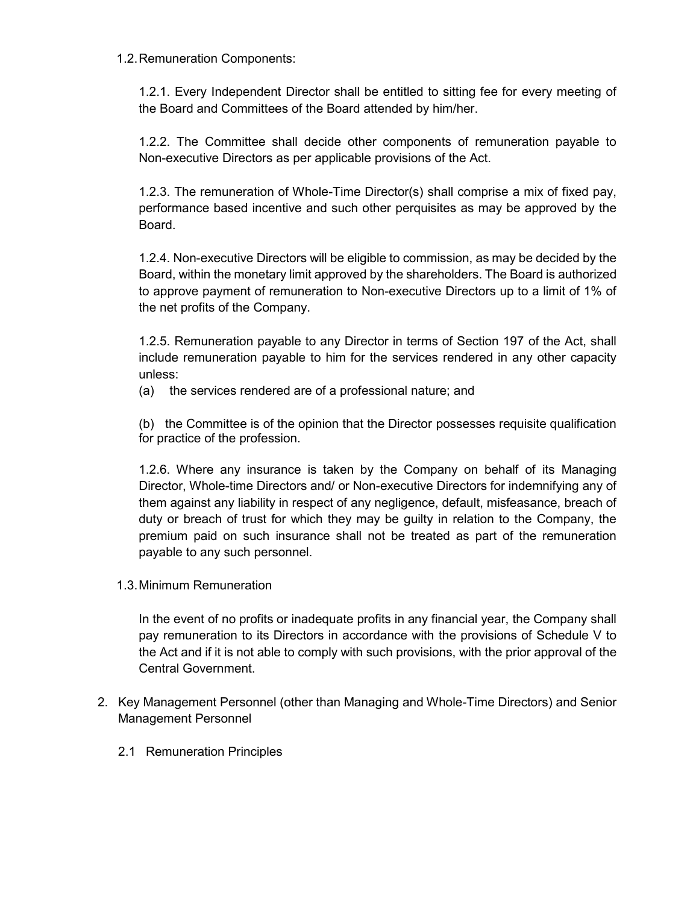1.2.Remuneration Components:

1.2.1. Every Independent Director shall be entitled to sitting fee for every meeting of the Board and Committees of the Board attended by him/her.

1.2.2. The Committee shall decide other components of remuneration payable to Non-executive Directors as per applicable provisions of the Act.

1.2.3. The remuneration of Whole-Time Director(s) shall comprise a mix of fixed pay, performance based incentive and such other perquisites as may be approved by the Board.

1.2.4. Non-executive Directors will be eligible to commission, as may be decided by the Board, within the monetary limit approved by the shareholders. The Board is authorized to approve payment of remuneration to Non-executive Directors up to a limit of 1% of the net profits of the Company.

1.2.5. Remuneration payable to any Director in terms of Section 197 of the Act, shall include remuneration payable to him for the services rendered in any other capacity unless:

(a) the services rendered are of a professional nature; and

(b) the Committee is of the opinion that the Director possesses requisite qualification for practice of the profession.

1.2.6. Where any insurance is taken by the Company on behalf of its Managing Director, Whole-time Directors and/ or Non-executive Directors for indemnifying any of them against any liability in respect of any negligence, default, misfeasance, breach of duty or breach of trust for which they may be guilty in relation to the Company, the premium paid on such insurance shall not be treated as part of the remuneration payable to any such personnel.

1.3.Minimum Remuneration

In the event of no profits or inadequate profits in any financial year, the Company shall pay remuneration to its Directors in accordance with the provisions of Schedule V to the Act and if it is not able to comply with such provisions, with the prior approval of the Central Government.

- 2. Key Management Personnel (other than Managing and Whole-Time Directors) and Senior Management Personnel
	- 2.1 Remuneration Principles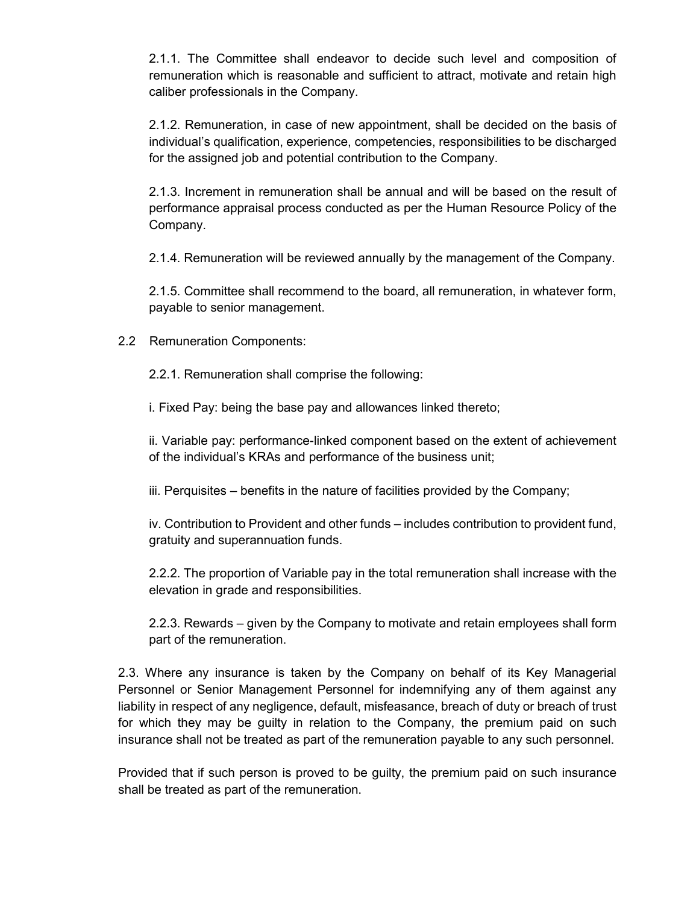2.1.1. The Committee shall endeavor to decide such level and composition of remuneration which is reasonable and sufficient to attract, motivate and retain high caliber professionals in the Company.

2.1.2. Remuneration, in case of new appointment, shall be decided on the basis of individual's qualification, experience, competencies, responsibilities to be discharged for the assigned job and potential contribution to the Company.

2.1.3. Increment in remuneration shall be annual and will be based on the result of performance appraisal process conducted as per the Human Resource Policy of the Company.

2.1.4. Remuneration will be reviewed annually by the management of the Company.

2.1.5. Committee shall recommend to the board, all remuneration, in whatever form, payable to senior management.

2.2 Remuneration Components:

2.2.1. Remuneration shall comprise the following:

i. Fixed Pay: being the base pay and allowances linked thereto;

ii. Variable pay: performance-linked component based on the extent of achievement of the individual's KRAs and performance of the business unit;

iii. Perquisites – benefits in the nature of facilities provided by the Company;

iv. Contribution to Provident and other funds – includes contribution to provident fund, gratuity and superannuation funds.

2.2.2. The proportion of Variable pay in the total remuneration shall increase with the elevation in grade and responsibilities.

2.2.3. Rewards – given by the Company to motivate and retain employees shall form part of the remuneration.

2.3. Where any insurance is taken by the Company on behalf of its Key Managerial Personnel or Senior Management Personnel for indemnifying any of them against any liability in respect of any negligence, default, misfeasance, breach of duty or breach of trust for which they may be guilty in relation to the Company, the premium paid on such insurance shall not be treated as part of the remuneration payable to any such personnel.

Provided that if such person is proved to be guilty, the premium paid on such insurance shall be treated as part of the remuneration.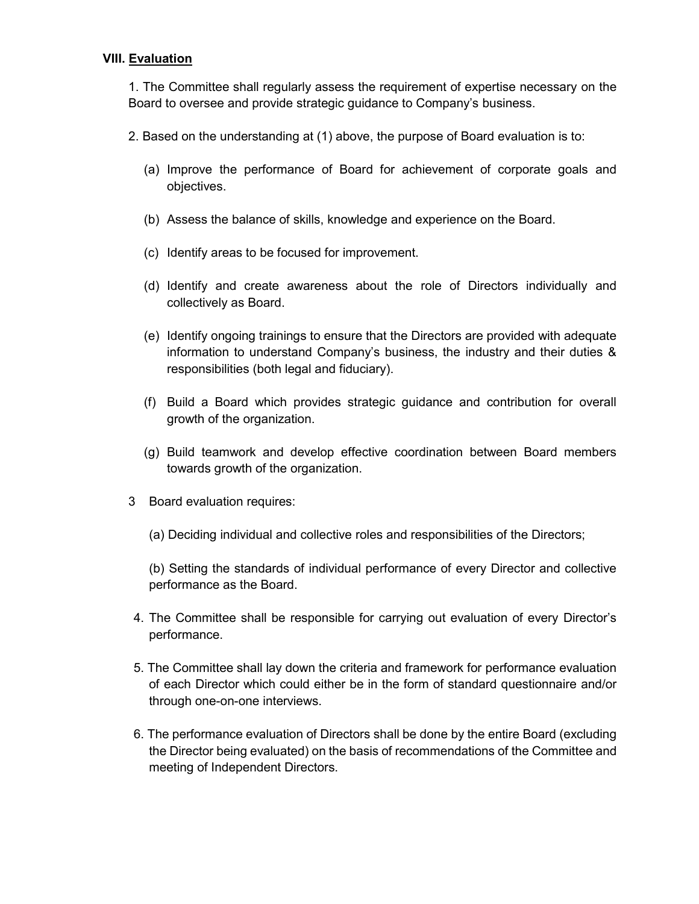### **VIII. Evaluation**

1. The Committee shall regularly assess the requirement of expertise necessary on the Board to oversee and provide strategic guidance to Company's business.

- 2. Based on the understanding at (1) above, the purpose of Board evaluation is to:
	- (a) Improve the performance of Board for achievement of corporate goals and objectives.
	- (b) Assess the balance of skills, knowledge and experience on the Board.
	- (c) Identify areas to be focused for improvement.
	- (d) Identify and create awareness about the role of Directors individually and collectively as Board.
	- (e) Identify ongoing trainings to ensure that the Directors are provided with adequate information to understand Company's business, the industry and their duties & responsibilities (both legal and fiduciary).
	- (f) Build a Board which provides strategic guidance and contribution for overall growth of the organization.
	- (g) Build teamwork and develop effective coordination between Board members towards growth of the organization.
- 3 Board evaluation requires:
	- (a) Deciding individual and collective roles and responsibilities of the Directors;

(b) Setting the standards of individual performance of every Director and collective performance as the Board.

- 4. The Committee shall be responsible for carrying out evaluation of every Director's performance.
- 5. The Committee shall lay down the criteria and framework for performance evaluation of each Director which could either be in the form of standard questionnaire and/or through one-on-one interviews.
- 6. The performance evaluation of Directors shall be done by the entire Board (excluding the Director being evaluated) on the basis of recommendations of the Committee and meeting of Independent Directors.